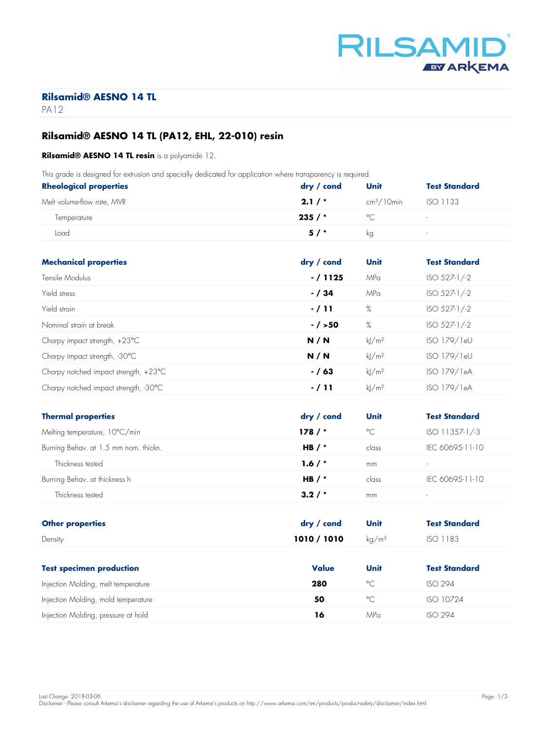

# **Rilsamid® AESNO 14 TL**

PA<sub>12</sub>

# **Rilsamid® AESNO 14 TL (PA12, EHL, 22-010) resin**

#### **Rilsamid® AESNO 14 TL resin** is a polyamide 12.

This grade is designed for extrusion and specially dedicated for application where transparency is required.

| <b>Rheological properties</b> | $\frac{dry}{}$ cond | Unit         | <b>Test Standard</b>     |
|-------------------------------|---------------------|--------------|--------------------------|
| Melt volume-flow rate, MVR    | 2.1/                | $cm3/10$ min | ISO 1133                 |
| Temperature                   | 235/                | $\circ$      | $\sim$                   |
| Load                          | 5/                  | kg           | $\overline{\phantom{a}}$ |

| <b>Mechanical properties</b>                    | dry / cond | Unit                | <b>Test Standard</b> |
|-------------------------------------------------|------------|---------------------|----------------------|
| Tensile Modulus                                 | $-/1125$   | MPa                 | ISO 527-1/-2         |
| Yield stress                                    | $- / 34$   | MPa                 | $ISO 527-1/-2$       |
| Yield strain                                    | $-711$     | %                   | ISO 527-1/-2         |
| Nominal strain at break                         | $- / > 50$ | %                   | $ISO 527-1/-2$       |
| Charpy impact strength, $+23^{\circ}$ C         | N/N        | $k$ /m <sup>2</sup> | ISO 179/1eU          |
| Charpy impact strength, -30°C                   | N/N        | $k$ /m <sup>2</sup> | ISO 179/1eU          |
| Charpy notched impact strength, $+23^{\circ}$ C | $- / 63$   | $k$ /m <sup>2</sup> | ISO 179/1eA          |
| Charpy notched impact strength, -30°C           | $-711$     | kl/m <sup>2</sup>   | ISO 179/1eA          |

| <b>Thermal properties</b>             | $\frac{dry}{} / \frac{cond}{}$ | Unit         | <b>Test Standard</b>     |
|---------------------------------------|--------------------------------|--------------|--------------------------|
| Melting temperature, 10°C/min         | 178/                           | $^{\circ}$ C | $ISO$ 11357-1/-3         |
| Burning Behav. at 1.5 mm nom. thickn. | HB $/$ *                       | class        | IEC 60695-11-10          |
| Thickness tested                      | 1.6/                           | mm           | $\sim$                   |
| Burning Behav. at thickness h         | HB $/$ *                       | class        | IFC 60695-11-10          |
| Thickness tested                      | 3.2/                           | mm           | $\overline{\phantom{a}}$ |

| <b>Other properties</b>             | $\mathsf{dry}\,/\, \mathsf{cond}$ | Unit                   | <b>Test Standard</b> |
|-------------------------------------|-----------------------------------|------------------------|----------------------|
| Density                             | 1010 / 1010                       | $\text{kg}/\text{m}^3$ | <b>ISO 1183</b>      |
|                                     |                                   |                        |                      |
| <b>Test specimen production</b>     | <b>Value</b>                      | Unit                   | <b>Test Standard</b> |
| Injection Molding, melt temperature | 280                               | $^{\circ}$ C           | <b>ISO 294</b>       |
| Injection Molding, mold temperature | 50                                | $^{\circ}$ C           | ISO 10724            |
| Injection Molding, pressure at hold | 16                                | MPa                    | <b>ISO 294</b>       |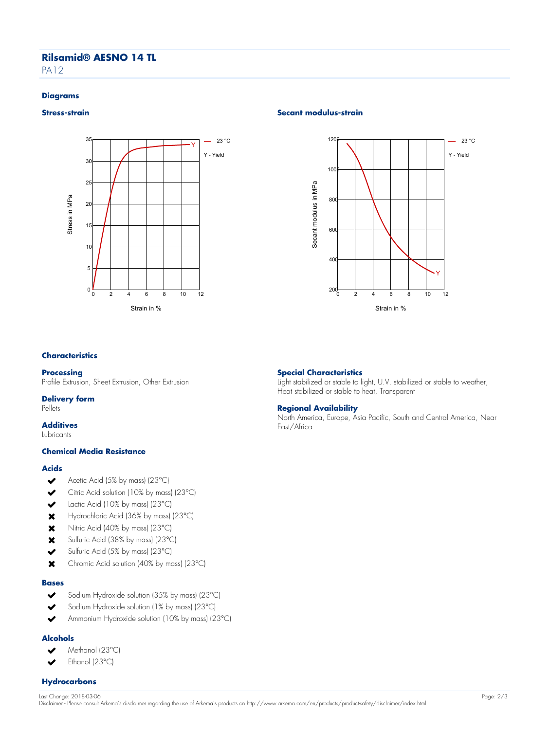# **Rilsamid® AESNO 14 TL**

PA<sub>12</sub>

#### **Diagrams**



# **Stress-strain** Secant modulus-strain **Secant modulus-strain**

**Special Characteristics**

**Regional Availability**

East/Africa

Heat stabilized or stable to heat, Transparent



Light stabilized or stable to light, U.V. stabilized or stable to weather,

North America, Europe, Asia Pacific, South and Central America, Near

#### **Characteristics**

#### **Processing**

Profile Extrusion, Sheet Extrusion, Other Extrusion

#### **Delivery form**

Pellets

# **Additives**

Lubricants

#### **Chemical Media Resistance**

#### **Acids**

- $\checkmark$ Acetic Acid (5% by mass) (23°C)
- Citric Acid solution (10% by mass) (23°C)  $\overline{\mathbf{v}}$
- Lactic Acid (10% by mass) (23°C)  $\overline{\mathbf{v}}$
- $\mathbf x$ Hydrochloric Acid (36% by mass) (23°C)
- $\boldsymbol{\mathsf{x}}$ Nitric Acid (40% by mass) (23°C)
- Sulfuric Acid (38% by mass) (23°C)  $\boldsymbol{\mathsf{x}}$
- $\blacktriangleright$ Sulfuric Acid (5% by mass) (23°C)
- Chromic Acid solution (40% by mass) (23°C)  $\mathbf x$

#### **Bases**

- Sodium Hydroxide solution (35% by mass) (23°C)  $\checkmark$
- $\checkmark$ Sodium Hydroxide solution (1% by mass) (23°C)
- Ammonium Hydroxide solution (10% by mass) (23°C)  $\checkmark$

# **Alcohols**

- Methanol (23°C)  $\checkmark$
- Ethanol (23°C)

# **Hydrocarbons**